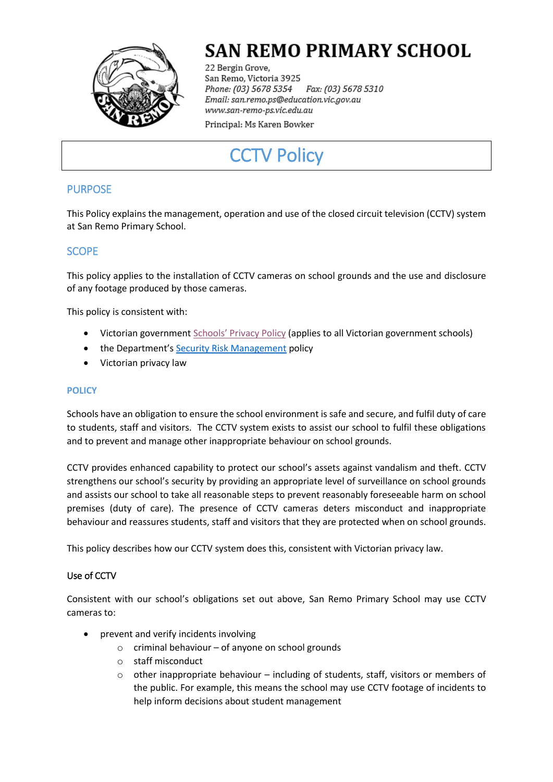

# **SAN REMO PRIMARY SCHOOL**

22 Bergin Grove, San Remo, Victoria 3925 Fax: (03) 5678 5310 Phone: (03) 5678 5354 Email: san.remo.ps@education.vic.gov.au www.san-remo-ps.vic.edu.au

Principal: Ms Karen Bowker

# **CCTV Policy**

# PURPOSE

This Policy explains the management, operation and use of the closed circuit television (CCTV) system at San Remo Primary School.

# **SCOPE**

This policy applies to the installation of CCTV cameras on school grounds and the use and disclosure of any footage produced by those cameras.

This policy is consistent with:

- Victorian government [Schools' Privacy Policy](https://www.education.vic.gov.au/Pages/schoolsprivacypolicy.aspx) (applies to all Victorian government schools)
- the Department's [Security Risk Management](https://www.education.vic.gov.au/school/principals/spag/management/pages/security.aspx) policy
- Victorian privacy law

### **POLICY**

Schools have an obligation to ensure the school environment is safe and secure, and fulfil duty of care to students, staff and visitors. The CCTV system exists to assist our school to fulfil these obligations and to prevent and manage other inappropriate behaviour on school grounds.

CCTV provides enhanced capability to protect our school's assets against vandalism and theft. CCTV strengthens our school's security by providing an appropriate level of surveillance on school grounds and assists our school to take all reasonable steps to prevent reasonably foreseeable harm on school premises (duty of care). The presence of CCTV cameras deters misconduct and inappropriate behaviour and reassures students, staff and visitors that they are protected when on school grounds.

This policy describes how our CCTV system does this, consistent with Victorian privacy law.

# Use of CCTV

Consistent with our school's obligations set out above, San Remo Primary School may use CCTV cameras to:

- prevent and verify incidents involving
	- o criminal behaviour of anyone on school grounds
	- o staff misconduct
	- $\circ$  other inappropriate behaviour including of students, staff, visitors or members of the public. For example, this means the school may use CCTV footage of incidents to help inform decisions about student management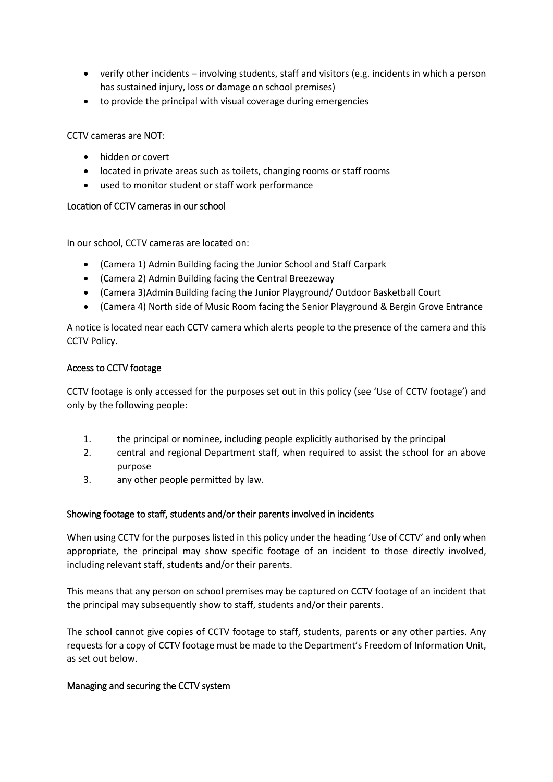- verify other incidents involving students, staff and visitors (e.g. incidents in which a person has sustained injury, loss or damage on school premises)
- to provide the principal with visual coverage during emergencies

CCTV cameras are NOT:

- hidden or covert
- located in private areas such as toilets, changing rooms or staff rooms
- used to monitor student or staff work performance

### Location of CCTV cameras in our school

In our school, CCTV cameras are located on:

- (Camera 1) Admin Building facing the Junior School and Staff Carpark
- (Camera 2) Admin Building facing the Central Breezeway
- (Camera 3)Admin Building facing the Junior Playground/ Outdoor Basketball Court
- (Camera 4) North side of Music Room facing the Senior Playground & Bergin Grove Entrance

A notice is located near each CCTV camera which alerts people to the presence of the camera and this CCTV Policy.

### Access to CCTV footage

CCTV footage is only accessed for the purposes set out in this policy (see 'Use of CCTV footage') and only by the following people:

- 1. the principal or nominee, including people explicitly authorised by the principal
- 2. central and regional Department staff, when required to assist the school for an above purpose
- 3. any other people permitted by law.

# Showing footage to staff, students and/or their parents involved in incidents

When using CCTV for the purposes listed in this policy under the heading 'Use of CCTV' and only when appropriate, the principal may show specific footage of an incident to those directly involved, including relevant staff, students and/or their parents.

This means that any person on school premises may be captured on CCTV footage of an incident that the principal may subsequently show to staff, students and/or their parents.

The school cannot give copies of CCTV footage to staff, students, parents or any other parties. Any requests for a copy of CCTV footage must be made to the Department's Freedom of Information Unit, as set out below.

# Managing and securing the CCTV system